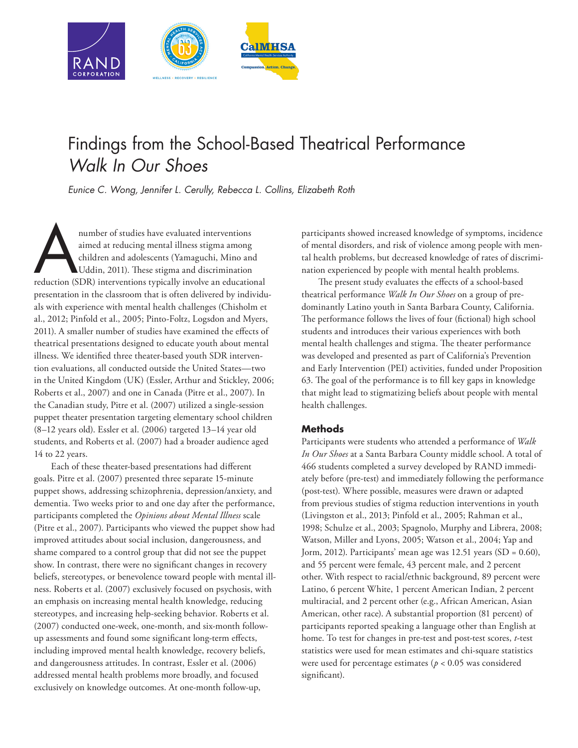

# Findings from the School-Based Theatrical Performance *Walk In Our Shoes*

*Eunice C. Wong, Jennifer L. Cerully, Rebecca L. Collins, Elizabeth Roth*

number of studies have evaluated interventions<br>
aimed at reducing mental illness stigma among<br>
children and adolescents (Yamaguchi, Mino and<br>
Uddin, 2011). These stigma and discrimination<br>
reduction (SDR) interventions typ aimed at reducing mental illness stigma among children and adolescents (Yamaguchi, Mino and Uddin, 2011). These stigma and discrimination presentation in the classroom that is often delivered by individuals with experience with mental health challenges (Chisholm et al., 2012; Pinfold et al., 2005; Pinto-Foltz, Logsdon and Myers, 2011). A smaller number of studies have examined the effects of theatrical presentations designed to educate youth about mental illness. We identified three theater-based youth SDR intervention evaluations, all conducted outside the United States—two in the United Kingdom (UK) (Essler, Arthur and Stickley, 2006; Roberts et al., 2007) and one in Canada (Pitre et al., 2007). In the Canadian study, Pitre et al. (2007) utilized a single-session puppet theater presentation targeting elementary school children (8–12 years old). Essler et al. (2006) targeted 13–14 year old students, and Roberts et al. (2007) had a broader audience aged 14 to 22 years.

Each of these theater-based presentations had different goals. Pitre et al. (2007) presented three separate 15-minute puppet shows, addressing schizophrenia, depression/anxiety, and dementia. Two weeks prior to and one day after the performance, participants completed the *Opinions about Mental Illness* scale (Pitre et al., 2007). Participants who viewed the puppet show had improved attitudes about social inclusion, dangerousness, and shame compared to a control group that did not see the puppet show. In contrast, there were no significant changes in recovery beliefs, stereotypes, or benevolence toward people with mental illness. Roberts et al. (2007) exclusively focused on psychosis, with an emphasis on increasing mental health knowledge, reducing stereotypes, and increasing help-seeking behavior. Roberts et al. (2007) conducted one-week, one-month, and six-month followup assessments and found some significant long-term effects, including improved mental health knowledge, recovery beliefs, and dangerousness attitudes. In contrast, Essler et al. (2006) addressed mental health problems more broadly, and focused exclusively on knowledge outcomes. At one-month follow-up,

participants showed increased knowledge of symptoms, incidence of mental disorders, and risk of violence among people with mental health problems, but decreased knowledge of rates of discrimination experienced by people with mental health problems.

The present study evaluates the effects of a school-based theatrical performance *Walk In Our Shoes* on a group of predominantly Latino youth in Santa Barbara County, California. The performance follows the lives of four (fictional) high school students and introduces their various experiences with both mental health challenges and stigma. The theater performance was developed and presented as part of California's Prevention and Early Intervention (PEI) activities, funded under Proposition 63. The goal of the performance is to fill key gaps in knowledge that might lead to stigmatizing beliefs about people with mental health challenges.

### **Methods**

Participants were students who attended a performance of *Walk In Our Shoes* at a Santa Barbara County middle school. A total of 466 students completed a survey developed by RAND immediately before (pre-test) and immediately following the performance (post-test). Where possible, measures were drawn or adapted from previous studies of stigma reduction interventions in youth (Livingston et al., 2013; Pinfold et al., 2005; Rahman et al., 1998; Schulze et al., 2003; Spagnolo, Murphy and Librera, 2008; Watson, Miller and Lyons, 2005; Watson et al., 2004; Yap and Jorm, 2012). Participants' mean age was 12.51 years (SD = 0.60), and 55 percent were female, 43 percent male, and 2 percent other. With respect to racial/ethnic background, 89 percent were Latino, 6 percent White, 1 percent American Indian, 2 percent multiracial, and 2 percent other (e.g., African American, Asian American, other race). A substantial proportion (81 percent) of participants reported speaking a language other than English at home. To test for changes in pre-test and post-test scores, *t*-test statistics were used for mean estimates and chi-square statistics were used for percentage estimates (*p* < 0.05 was considered significant).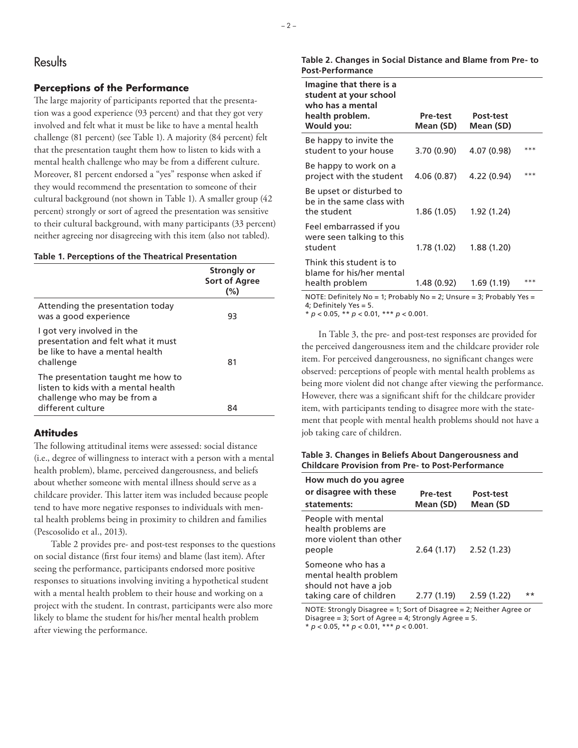# **Results**

#### **Perceptions of the Performance**

The large majority of participants reported that the presentation was a good experience (93 percent) and that they got very involved and felt what it must be like to have a mental health challenge (81 percent) (see Table 1). A majority (84 percent) felt that the presentation taught them how to listen to kids with a mental health challenge who may be from a different culture. Moreover, 81 percent endorsed a "yes" response when asked if they would recommend the presentation to someone of their cultural background (not shown in Table 1). A smaller group (42 percent) strongly or sort of agreed the presentation was sensitive to their cultural background, with many participants (33 percent) neither agreeing nor disagreeing with this item (also not tabled).

#### **Table 1. Perceptions of the Theatrical Presentation**

|                                                                                                                  | Strongly or<br><b>Sort of Agree</b><br>(%) |
|------------------------------------------------------------------------------------------------------------------|--------------------------------------------|
| Attending the presentation today<br>was a good experience                                                        | 93                                         |
| I got very involved in the<br>presentation and felt what it must<br>be like to have a mental health<br>challenge | 81                                         |
| The presentation taught me how to<br>listen to kids with a mental health<br>challenge who may be from a          |                                            |
| different culture                                                                                                | 84                                         |

#### **Attitudes**

The following attitudinal items were assessed: social distance (i.e., degree of willingness to interact with a person with a mental health problem), blame, perceived dangerousness, and beliefs about whether someone with mental illness should serve as a childcare provider. This latter item was included because people tend to have more negative responses to individuals with mental health problems being in proximity to children and families (Pescosolido et al., 2013).

Table 2 provides pre- and post-test responses to the questions on social distance (first four items) and blame (last item). After seeing the performance, participants endorsed more positive responses to situations involving inviting a hypothetical student with a mental health problem to their house and working on a project with the student. In contrast, participants were also more likely to blame the student for his/her mental health problem after viewing the performance.

**Table 2. Changes in Social Distance and Blame from Pre- to Post-Performance**

| Imagine that there is a<br>student at your school<br>who has a mental<br>health problem.<br>Would you: | Pre-test<br>Mean (SD) | Post-test<br>Mean (SD) |       |
|--------------------------------------------------------------------------------------------------------|-----------------------|------------------------|-------|
| Be happy to invite the<br>student to your house                                                        | 3.70(0.90)            | 4.07 (0.98)            | $***$ |
| Be happy to work on a<br>project with the student                                                      | 4.06(0.87)            | 4.22 (0.94)            | $***$ |
| Be upset or disturbed to<br>be in the same class with<br>the student                                   | 1.86 (1.05)           | 1.92(1.24)             |       |
| Feel embarrassed if you<br>were seen talking to this<br>student                                        | 1.78 (1.02)           | 1.88(1.20)             |       |
| Think this student is to<br>blame for his/her mental<br>health problem                                 | 1.48 (0.92)           | 1.69 (1.19)            | $***$ |

NOTE: Definitely No = 1; Probably No = 2; Unsure = 3; Probably Yes = 4; Definitely Yes = 5.

\* *p* < 0.05, \*\* *p* < 0.01, \*\*\* *p* < 0.001.

In Table 3, the pre- and post-test responses are provided for the perceived dangerousness item and the childcare provider role item. For perceived dangerousness, no significant changes were observed: perceptions of people with mental health problems as being more violent did not change after viewing the performance. However, there was a significant shift for the childcare provider item, with participants tending to disagree more with the statement that people with mental health problems should not have a job taking care of children.

**Table 3. Changes in Beliefs About Dangerousness and Childcare Provision from Pre- to Post-Performance** 

| How much do you agree<br>or disagree with these<br>statements:                                 | Pre-test<br>Mean (SD) | Post-test<br>Mean (SD |       |
|------------------------------------------------------------------------------------------------|-----------------------|-----------------------|-------|
| People with mental<br>health problems are<br>more violent than other<br>people                 | 2.64(1.17)            | 2.52(1.23)            |       |
| Someone who has a<br>mental health problem<br>should not have a job<br>taking care of children | 2.77 (1.19)           | 2.59(1.22)            | $***$ |

NOTE: Strongly Disagree = 1; Sort of Disagree = 2; Neither Agree or Disagree =  $3$ ; Sort of Agree =  $4$ ; Strongly Agree =  $5$ . \* *p* < 0.05, \*\* *p* < 0.01, \*\*\* *p* < 0.001.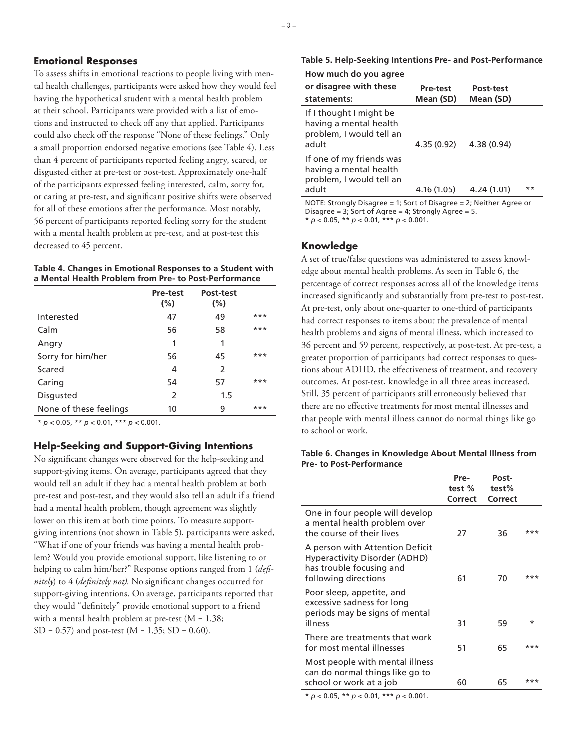#### **Emotional Responses**

To assess shifts in emotional reactions to people living with mental health challenges, participants were asked how they would feel having the hypothetical student with a mental health problem at their school. Participants were provided with a list of emotions and instructed to check off any that applied. Participants could also check off the response "None of these feelings." Only a small proportion endorsed negative emotions (see Table 4). Less than 4 percent of participants reported feeling angry, scared, or disgusted either at pre-test or post-test. Approximately one-half of the participants expressed feeling interested, calm, sorry for, or caring at pre-test, and significant positive shifts were observed for all of these emotions after the performance. Most notably, 56 percent of participants reported feeling sorry for the student with a mental health problem at pre-test, and at post-test this decreased to 45 percent.

#### **Table 4. Changes in Emotional Responses to a Student with a Mental Health Problem from Pre- to Post-Performance**

| <b>Pre-test</b><br>$(\% )$ | Post-test<br>$(\%)$ |       |
|----------------------------|---------------------|-------|
| 47                         | 49                  | ***   |
| 56                         | 58                  | $***$ |
| 1                          | 1                   |       |
| 56                         | 45                  | $***$ |
| 4                          | $\mathcal{P}$       |       |
| 54                         | 57                  | $***$ |
| $\mathcal{P}$              | 1.5                 |       |
| 10                         | 9                   | $***$ |
|                            |                     |       |

\* *p* < 0.05, \*\* *p* < 0.01, \*\*\* *p* < 0.001.

#### **Help-Seeking and Support-Giving Intentions**

No significant changes were observed for the help-seeking and support-giving items. On average, participants agreed that they would tell an adult if they had a mental health problem at both pre-test and post-test, and they would also tell an adult if a friend had a mental health problem, though agreement was slightly lower on this item at both time points. To measure supportgiving intentions (not shown in Table 5), participants were asked, "What if one of your friends was having a mental health problem? Would you provide emotional support, like listening to or helping to calm him/her?" Response options ranged from 1 (*definitely*) to 4 (*definitely not)*. No significant changes occurred for support-giving intentions. On average, participants reported that they would "definitely" provide emotional support to a friend with a mental health problem at pre-test ( $M = 1.38$ ;  $SD = 0.57$  and post-test (M = 1.35; SD = 0.60).

| Table 5. Help-Seeking Intentions Pre- and Post-Performance |  |  |
|------------------------------------------------------------|--|--|
|------------------------------------------------------------|--|--|

| How much do you agree<br>or disagree with these<br>statements:                          | Pre-test<br>Mean (SD) | Post-test<br>Mean (SD) |       |
|-----------------------------------------------------------------------------------------|-----------------------|------------------------|-------|
| If I thought I might be<br>having a mental health<br>problem, I would tell an<br>adult  | 4.35 (0.92)           | 4.38(0.94)             |       |
| If one of my friends was<br>having a mental health<br>problem, I would tell an<br>adult | 4.16 (1.05)           | 4.24 (1.01)            | $***$ |

NOTE: Strongly Disagree = 1; Sort of Disagree = 2; Neither Agree or Disagree =  $3$ ; Sort of Agree =  $4$ ; Strongly Agree =  $5$ .

\* *p* < 0.05, \*\* *p* < 0.01, \*\*\* *p* < 0.001.

#### **Knowledge**

A set of true/false questions was administered to assess knowledge about mental health problems. As seen in Table 6, the percentage of correct responses across all of the knowledge items increased significantly and substantially from pre-test to post-test. At pre-test, only about one-quarter to one-third of participants had correct responses to items about the prevalence of mental health problems and signs of mental illness, which increased to 36 percent and 59 percent, respectively, at post-test. At pre-test, a greater proportion of participants had correct responses to questions about ADHD, the effectiveness of treatment, and recovery outcomes. At post-test, knowledge in all three areas increased. Still, 35 percent of participants still erroneously believed that there are no effective treatments for most mental illnesses and that people with mental illness cannot do normal things like go to school or work.

#### **Table 6. Changes in Knowledge About Mental Illness from Pre- to Post-Performance**

|                                                                                                                             | Pre-<br>test %<br>Correct | Post-<br>test%<br>Correct |     |
|-----------------------------------------------------------------------------------------------------------------------------|---------------------------|---------------------------|-----|
| One in four people will develop<br>a mental health problem over<br>the course of their lives                                | 27                        | 36                        | *** |
| A person with Attention Deficit<br><b>Hyperactivity Disorder (ADHD)</b><br>has trouble focusing and<br>following directions | 61                        | 70                        | *** |
| Poor sleep, appetite, and<br>excessive sadness for long<br>periods may be signs of mental<br>illness                        | 31                        | 59                        | *   |
| There are treatments that work<br>for most mental illnesses                                                                 | 51                        | 65                        | *** |
| Most people with mental illness<br>can do normal things like go to<br>school or work at a job                               | 60                        | 65                        | *** |

\* *p* < 0.05, \*\* *p* < 0.01, \*\*\* *p* < 0.001.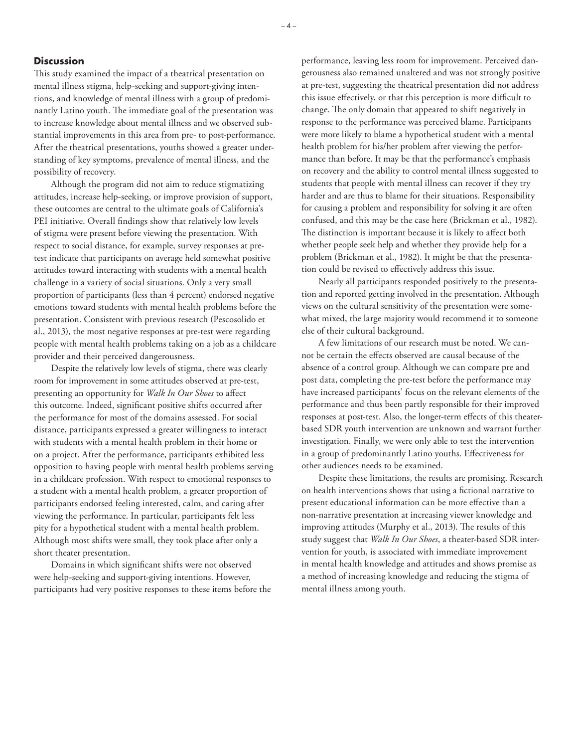#### **Discussion**

This study examined the impact of a theatrical presentation on mental illness stigma, help-seeking and support-giving intentions, and knowledge of mental illness with a group of predominantly Latino youth. The immediate goal of the presentation was to increase knowledge about mental illness and we observed substantial improvements in this area from pre- to post-performance. After the theatrical presentations, youths showed a greater understanding of key symptoms, prevalence of mental illness, and the possibility of recovery.

Although the program did not aim to reduce stigmatizing attitudes, increase help-seeking, or improve provision of support, these outcomes are central to the ultimate goals of California's PEI initiative. Overall findings show that relatively low levels of stigma were present before viewing the presentation. With respect to social distance, for example, survey responses at pretest indicate that participants on average held somewhat positive attitudes toward interacting with students with a mental health challenge in a variety of social situations. Only a very small proportion of participants (less than 4 percent) endorsed negative emotions toward students with mental health problems before the presentation. Consistent with previous research (Pescosolido et al., 2013), the most negative responses at pre-test were regarding people with mental health problems taking on a job as a childcare provider and their perceived dangerousness.

Despite the relatively low levels of stigma, there was clearly room for improvement in some attitudes observed at pre-test, presenting an opportunity for *Walk In Our Shoes* to affect this outcome. Indeed, significant positive shifts occurred after the performance for most of the domains assessed. For social distance, participants expressed a greater willingness to interact with students with a mental health problem in their home or on a project. After the performance, participants exhibited less opposition to having people with mental health problems serving in a childcare profession. With respect to emotional responses to a student with a mental health problem, a greater proportion of participants endorsed feeling interested, calm, and caring after viewing the performance. In particular, participants felt less pity for a hypothetical student with a mental health problem. Although most shifts were small, they took place after only a short theater presentation.

Domains in which significant shifts were not observed were help-seeking and support-giving intentions. However, participants had very positive responses to these items before the

performance, leaving less room for improvement. Perceived dangerousness also remained unaltered and was not strongly positive at pre-test, suggesting the theatrical presentation did not address this issue effectively, or that this perception is more difficult to change. The only domain that appeared to shift negatively in response to the performance was perceived blame. Participants were more likely to blame a hypothetical student with a mental health problem for his/her problem after viewing the performance than before. It may be that the performance's emphasis on recovery and the ability to control mental illness suggested to students that people with mental illness can recover if they try harder and are thus to blame for their situations. Responsibility for causing a problem and responsibility for solving it are often confused, and this may be the case here (Brickman et al., 1982). The distinction is important because it is likely to affect both whether people seek help and whether they provide help for a problem (Brickman et al., 1982). It might be that the presentation could be revised to effectively address this issue.

Nearly all participants responded positively to the presentation and reported getting involved in the presentation. Although views on the cultural sensitivity of the presentation were somewhat mixed, the large majority would recommend it to someone else of their cultural background.

A few limitations of our research must be noted. We cannot be certain the effects observed are causal because of the absence of a control group. Although we can compare pre and post data, completing the pre-test before the performance may have increased participants' focus on the relevant elements of the performance and thus been partly responsible for their improved responses at post-test. Also, the longer-term effects of this theaterbased SDR youth intervention are unknown and warrant further investigation. Finally, we were only able to test the intervention in a group of predominantly Latino youths. Effectiveness for other audiences needs to be examined.

Despite these limitations, the results are promising. Research on health interventions shows that using a fictional narrative to present educational information can be more effective than a non-narrative presentation at increasing viewer knowledge and improving attitudes (Murphy et al., 2013). The results of this study suggest that *Walk In Our Shoes*, a theater-based SDR intervention for youth, is associated with immediate improvement in mental health knowledge and attitudes and shows promise as a method of increasing knowledge and reducing the stigma of mental illness among youth.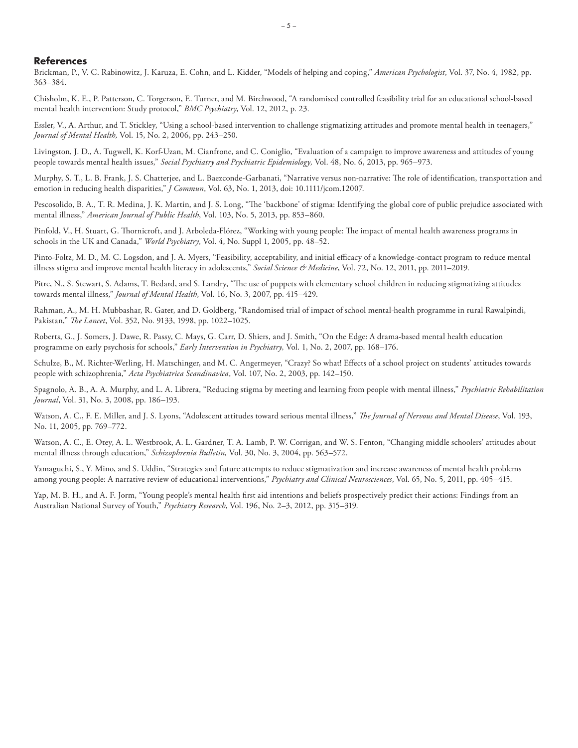#### **References**

Brickman, P., V. C. Rabinowitz, J. Karuza, E. Cohn, and L. Kidder, "Models of helping and coping," *American Psychologist*, Vol. 37, No. 4, 1982, pp. 363–384.

Chisholm, K. E., P. Patterson, C. Torgerson, E. Turner, and M. Birchwood, "A randomised controlled feasibility trial for an educational school-based mental health intervention: Study protocol," *BMC Psychiatry*, Vol. 12, 2012, p. 23.

Essler, V., A. Arthur, and T. Stickley, "Using a school-based intervention to challenge stigmatizing attitudes and promote mental health in teenagers," *Journal of Mental Health,* Vol. 15, No. 2, 2006, pp. 243–250.

Livingston, J. D., A. Tugwell, K. Korf-Uzan, M. Cianfrone, and C. Coniglio, "Evaluation of a campaign to improve awareness and attitudes of young people towards mental health issues," *Social Psychiatry and Psychiatric Epidemiology,* Vol. 48, No. 6, 2013, pp. 965–973.

Murphy, S. T., L. B. Frank, J. S. Chatterjee, and L. Baezconde-Garbanati, "Narrative versus non-narrative: The role of identification, transportation and emotion in reducing health disparities," *J Commun*, Vol. 63, No. 1, 2013, doi: 10.1111/jcom.12007.

Pescosolido, B. A., T. R. Medina, J. K. Martin, and J. S. Long, "The 'backbone' of stigma: Identifying the global core of public prejudice associated with mental illness," *American Journal of Public Health*, Vol. 103, No. 5, 2013, pp. 853–860.

Pinfold, V., H. Stuart, G. Thornicroft, and J. Arboleda-Flórez, "Working with young people: The impact of mental health awareness programs in schools in the UK and Canada," *World Psychiatry*, Vol. 4, No. Suppl 1, 2005, pp. 48–52.

Pinto-Foltz, M. D., M. C. Logsdon, and J. A. Myers, "Feasibility, acceptability, and initial efficacy of a knowledge-contact program to reduce mental illness stigma and improve mental health literacy in adolescents," *Social Science & Medicine*, Vol. 72, No. 12, 2011, pp. 2011–2019.

Pitre, N., S. Stewart, S. Adams, T. Bedard, and S. Landry, "The use of puppets with elementary school children in reducing stigmatizing attitudes towards mental illness," *Journal of Mental Health*, Vol. 16, No. 3, 2007, pp. 415–429.

Rahman, A., M. H. Mubbashar, R. Gater, and D. Goldberg, "Randomised trial of impact of school mental-health programme in rural Rawalpindi, Pakistan," *The Lancet*, Vol. 352, No. 9133, 1998, pp. 1022–1025.

Roberts, G., J. Somers, J. Dawe, R. Passy, C. Mays, G. Carr, D. Shiers, and J. Smith, "On the Edge: A drama-based mental health education programme on early psychosis for schools," *Early Intervention in Psychiatry,* Vol. 1, No. 2, 2007, pp. 168–176.

Schulze, B., M. Richter-Werling, H. Matschinger, and M. C. Angermeyer, "Crazy? So what! Effects of a school project on students' attitudes towards people with schizophrenia," *Acta Psychiatrica Scandinavica*, Vol. 107, No. 2, 2003, pp. 142–150.

Spagnolo, A. B., A. A. Murphy, and L. A. Librera, "Reducing stigma by meeting and learning from people with mental illness," *Psychiatric Rehabilitation Journal*, Vol. 31, No. 3, 2008, pp. 186–193.

Watson, A. C., F. E. Miller, and J. S. Lyons, "Adolescent attitudes toward serious mental illness," *The Journal of Nervous and Mental Disease*, Vol. 193, No. 11, 2005, pp. 769–772.

Watson, A. C., E. Otey, A. L. Westbrook, A. L. Gardner, T. A. Lamb, P. W. Corrigan, and W. S. Fenton, "Changing middle schoolers' attitudes about mental illness through education," *Schizophrenia Bulletin,* Vol. 30, No. 3, 2004, pp. 563–572.

Yamaguchi, S., Y. Mino, and S. Uddin, "Strategies and future attempts to reduce stigmatization and increase awareness of mental health problems among young people: A narrative review of educational interventions," *Psychiatry and Clinical Neurosciences*, Vol. 65, No. 5, 2011, pp. 405–415.

Yap, M. B. H., and A. F. Jorm, "Young people's mental health first aid intentions and beliefs prospectively predict their actions: Findings from an Australian National Survey of Youth," *Psychiatry Research*, Vol. 196, No. 2–3, 2012, pp. 315–319.